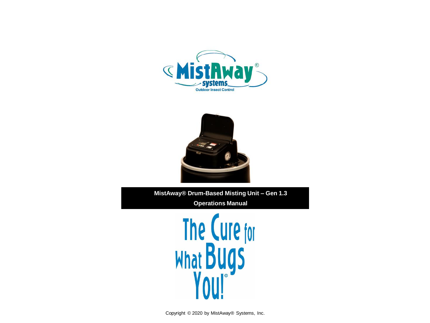



**MistAway® Drum-Based Misting Unit – Gen 1.3 Operations Manual**

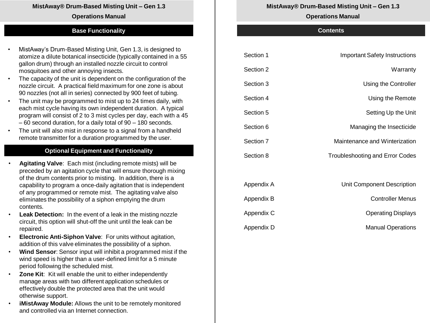#### **MistAway® Drum-Based Misting Unit – Gen 1.3**

#### **Operations Manual**

#### **Base Functionality**

- MistAway's Drum-Based Misting Unit, Gen 1.3, is designed to atomize a dilute botanical insecticide (typically contained in a 55 gallon drum) through an installed nozzle circuit to control mosquitoes and other annoying insects.
- The capacity of the unit is dependent on the configuration of the nozzle circuit. A practical field maximum for one zone is about 90 nozzles (not all in series) connected by 900 feet of tubing.
- The unit may be programmed to mist up to 24 times daily, with each mist cycle having its own independent duration. A typical program will consist of 2 to 3 mist cycles per day, each with a 45 – 60 second duration, for a daily total of 90 – 180 seconds.
- The unit will also mist in response to a signal from a handheld remote transmitter for a duration programmed by the user.

#### **Optional Equipment and Functionality**

- **Agitating Valve**: Each mist (including remote mists) will be preceded by an agitation cycle that will ensure thorough mixing of the drum contents prior to misting. In addition, there is a capability to program a once-daily agitation that is independent of any programmed or remote mist. The agitating valve also eliminates the possibility of a siphon emptying the drum contents.
- **Leak Detection:** In the event of a leak in the misting nozzle circuit, this option will shut-off the unit until the leak can be repaired.
- **Electronic Anti-Siphon Valve**: For units without agitation, addition of this valve eliminates the possibility of a siphon.
- **Wind Sensor**: Sensor input will inhibit a programmed mist if the wind speed is higher than a user-defined limit for a 5 minute period following the scheduled mist.
- **Zone Kit**: Kit will enable the unit to either independently manage areas with two different application schedules or effectively double the protected area that the unit would otherwise support.
- **iMistAway Module:** Allows the unit to be remotely monitored and controlled via an Internet connection.

#### **MistAway® Drum-Based Misting Unit – Gen 1.3**

#### **Operations Manual**

#### **Contents**

| Section 1  | <b>Important Safety Instructions</b>   |
|------------|----------------------------------------|
| Section 2  | Warranty                               |
| Section 3  | Using the Controller                   |
| Section 4  | Using the Remote                       |
| Section 5  | Setting Up the Unit                    |
| Section 6  | Managing the Insecticide               |
| Section 7  | Maintenance and Winterization          |
| Section 8  | <b>Troubleshooting and Error Codes</b> |
|            |                                        |
| Appendix A | Unit Component Description             |
| Appendix B | <b>Controller Menus</b>                |
| Appendix C | <b>Operating Displays</b>              |
| Appendix D | <b>Manual Operations</b>               |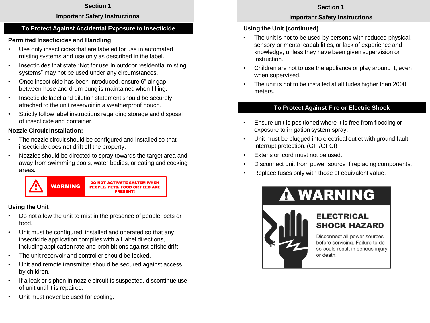### **Important Safety Instructions**

## **To Protect Against Accidental Exposure to Insecticide**

## **Permitted Insecticides and Handling**

- Use only insecticides that are labeled for use in automated misting systems and use only as described in the label.
- Insecticides that state "Not for use in outdoor residential misting systems" may not be used under any circumstances.
- Once insecticide has been introduced, ensure 6" air gap between hose and drum bung is maintained when filling.
- Insecticide label and dilution statement should be securely attached to the unit reservoir in a weatherproof pouch.
- Strictly follow label instructions regarding storage and disposal of insecticide and container.

## **Nozzle Circuit Installation:**

- The nozzle circuit should be configured and installed so that insecticide does not drift off the property.
- Nozzles should be directed to spray towards the target area and away from swimming pools, water bodies, or eating and cooking areas.



## **Using the Unit**

- Do not allow the unit to mist in the presence of people, pets or food.
- Unit must be configured, installed and operated so that any insecticide application complies with all label directions, including application rate and prohibitions against offsite drift.
- The unit reservoir and controller should be locked.
- Unit and remote transmitter should be secured against access by children.
- If a leak or siphon in nozzle circuit is suspected, discontinue use of unit until it is repaired.
- Unit must never be used for cooling.

## **Section 1**

## **Important Safety Instructions**

## **Using the Unit (continued)**

- The unit is not to be used by persons with reduced physical, sensory or mental capabilities, or lack of experience and knowledge, unless they have been given supervision or instruction.
- Children are not to use the appliance or play around it, even when supervised.
- The unit is not to be installed at altitudes higher than 2000 meters.

## **To Protect Against Fire or Electric Shock**

- Ensure unit is positioned where it is free from flooding or exposure to irrigation system spray.
- Unit must be plugged into electrical outlet with ground fault interrupt protection. (GFI/GFCI)
- Extension cord must not be used.
- Disconnect unit from power source if replacing components.
- Replace fuses only with those of equivalent value.



# **A WARNING**



Disconnect all power sources before servicing. Failure to do so could result in serious injury or death.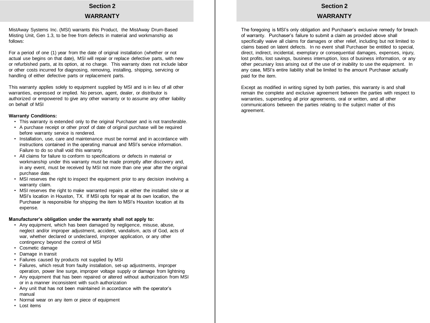#### **Section 2 WARRANTY**

MistAway Systems Inc. (MSI) warrants this Product, the MistAway Drum-Based Misting Unit, Gen 1.3, to be free from defects in material and workmanship as follows:

For a period of one (1) year from the date of original installation (whether or not actual use begins on that date), MSI will repair or replace defective parts, with new or refurbished parts, at its option, at no charge. This warranty does not include labor or other costs incurred for diagnosing, removing, installing, shipping, servicing or handling of either defective parts or replacement parts.

This warranty applies solely to equipment supplied by MSI and is in lieu of all other warranties, expressed or implied. No person, agent, dealer, or distributor is authorized or empowered to give any other warranty or to assume any other liability on behalf of MSI

#### **Warranty Conditions:**

- This warranty is extended only to the original Purchaser and is not transferable.
- A purchase receipt or other proof of date of original purchase will be required before warranty service is rendered.
- Installation, use, care and maintenance must be normal and in accordance with instructions contained in the operating manual and MSI's service information. Failure to do so shall void this warranty.
- All claims for failure to conform to specifications or defects in material or workmanship under this warranty must be made promptly after discovery and, in any event, must be received by MSI not more than one year after the original purchase date.
- MSI reserves the right to inspect the equipment prior to any decision involving a warranty claim.
- MSI reserves the right to make warranted repairs at either the installed site or at MSI's location in Houston, TX. If MSI opts for repair at its own location, the Purchaser is responsible for shipping the item to MSI's Houston location at its expense.

#### **Manufacturer's obligation under the warranty shall not apply to:**

- Any equipment, which has been damaged by negligence, misuse, abuse, neglect and/or improper adjustment, accident, vandalism, acts of God, acts of war, whether declared or undeclared, improper application, or any other contingency beyond the control of MSI
- Cosmetic damage
- Damage in transit
- Failures caused by products not supplied by MSI
- Failures, which result from faulty installation, set-up adjustments, improper operation, power line surge, improper voltage supply or damage from lightning
- Any equipment that has been repaired or altered without authorization from MSI or in a manner inconsistent with such authorization
- Any unit that has not been maintained in accordance with the operator's manual
- Normal wear on any item or piece of equipment
- Lost items

#### **Section 2**

#### **WARRANTY**

The foregoing is MSI's only obligation and Purchaser's exclusive remedy for breach of warranty. Purchaser's failure to submit a claim as provided above shall specifically waive all claims for damages or other relief, including but not limited to claims based on latent defects. In no event shall Purchaser be entitled to special, direct, indirect, incidental, exemplary or consequential damages, expenses, injury, lost profits, lost savings, business interruption, loss of business information, or any other pecuniary loss arising out of the use of or inability to use the equipment. In any case, MSI's entire liability shall be limited to the amount Purchaser actually paid for the item.

Except as modified in writing signed by both parties, this warranty is and shall remain the complete and exclusive agreement between the parties with respect to warranties, superseding all prior agreements, oral or written, and all other communications between the parties relating to the subject matter of this agreement.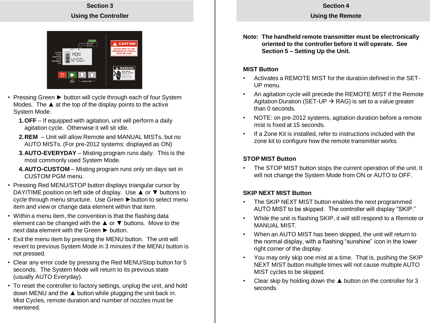**Using the Remote**

## **Section 3 Using the Controller**



- Pressing Green ► button will cycle through each of four System Modes. The ▲ at the top of the display points to the active System Mode.
	- **1.OFF** If equipped with agitation, unit will perform a daily agitation cycle. Otherwise it will sit idle.
	- **2.REM** Unit will allow Remote and MANUAL MISTs, but no AUTO MISTs. (For pre-2012 systems: displayed as ON)
	- **3.AUTO-EVERYDAY** Misting program runs daily. This is the most commonly used System Mode.
	- **4.AUTO-CUSTOM** Misting program runs only on days set in CUSTOM PGM menu.
- Pressing Red MENU/STOP button displays triangular cursor by DAY/TIME position on left side of display. Use ▲ or ▼ buttons to cycle through menu structure. Use Green ► button to select menu item and view or change data element within that item.
- Within a menu item, the convention is that the flashing data element can be changed with the  $\triangle$  or  $\nabla$  buttons. Move to the next data element with the Green ► button.
- Exit the menu item by pressing the MENU button. The unit will revert to previous System Mode in 3 minutes if the MENU button is not pressed.
- Clear any error code by pressing the Red MENU/Stop button for 5 seconds. The System Mode will return to its previous state (usually AUTO Everyday).
- To reset the controller to factory settings, unplug the unit, and hold down MENU and the ▲ button while plugging the unit back in. Mist Cycles, remote duration and number of nozzles must be reentered.

**Note: The handheld remote transmitter must be electronically oriented to the controller before it will operate. See Section 5 – Setting Up the Unit.**

## **MIST Button**

- Activates a REMOTE MIST for the duration defined in the SET-UP menu.
- An agitation cycle will precede the REMOTE MIST if the Remote Agitation Duration (SET-UP  $\rightarrow$  RAG) is set to a value greater than 0 seconds.
- NOTE: on pre-2012 systems, agitation duration before a remote mist is fixed at 15 seconds.
- If a Zone Kit is installed, refer to instructions included with the zone kit to configure how the remote transmitter works.

## **STOP MIST Button**

• The STOP MIST button stops the current operation of the unit. It will not change the System Mode from ON or AUTO to OFF.

## **SKIP NEXT MIST Button**

- The SKIP NEXT MIST button enables the next programmed AUTO MIST to be skipped. The controller will display "SKIP."
- While the unit is flashing SKIP, it will still respond to a Remote or MANUAL MIST.
- When an AUTO MIST has been skipped, the unit will return to the normal display, with a flashing "sunshine" icon in the lower right corner of the display.
- You may only skip one mist at a time. That is, pushing the SKIP NEXT MIST button multiple times will not cause multiple AUTO MIST cycles to be skipped.
- Clear skip by holding down the ▲ button on the controller for 3 seconds.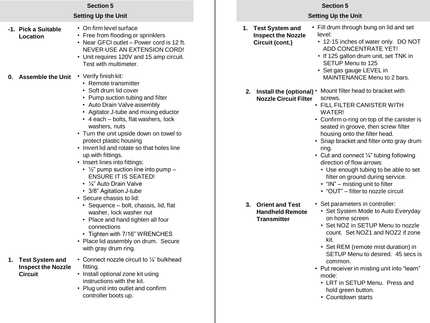| <b>Section 5</b>                                                  |                                                                                                                                                                                                                                                                                                                                                                                                                                                                                                                                                                                         |    | <b>Section 5</b><br><b>Setting Up the Unit</b>                         |                                                                                                                                                                                                                                                                                                                                                                                                                                                                                                                                                                      |
|-------------------------------------------------------------------|-----------------------------------------------------------------------------------------------------------------------------------------------------------------------------------------------------------------------------------------------------------------------------------------------------------------------------------------------------------------------------------------------------------------------------------------------------------------------------------------------------------------------------------------------------------------------------------------|----|------------------------------------------------------------------------|----------------------------------------------------------------------------------------------------------------------------------------------------------------------------------------------------------------------------------------------------------------------------------------------------------------------------------------------------------------------------------------------------------------------------------------------------------------------------------------------------------------------------------------------------------------------|
| <b>Setting Up the Unit</b>                                        |                                                                                                                                                                                                                                                                                                                                                                                                                                                                                                                                                                                         |    |                                                                        |                                                                                                                                                                                                                                                                                                                                                                                                                                                                                                                                                                      |
| -1. Pick a Suitable<br>Location                                   | • On firm level surface<br>• Free from flooding or sprinklers<br>• Near GFCI outlet - Power cord is 12 ft.<br>NEVER USE AN EXTENSION CORD!<br>• Unit requires 120V and 15 amp circuit.<br>Test with multimeter.                                                                                                                                                                                                                                                                                                                                                                         | 1. | <b>Test System and</b><br><b>Inspect the Nozzle</b><br>Circuit (cont.) | • Fill drum through bung on lid and set<br>level:<br>• 12-15 inches of water only. DO NOT<br>ADD CONCENTRATE YET!<br>• If 125 gallon drum unit, set TNK in<br>SETUP Menu to 125<br>• Set gas gauge LEVEL in                                                                                                                                                                                                                                                                                                                                                          |
| 0. Assemble the Unit                                              | • Verify finish kit:<br>• Remote transmitter<br>• Soft drum lid cover<br>• Pump suction tubing and filter<br>• Auto Drain Valve assembly<br>• Agitator J-tube and mixing eductor<br>• 4 each - bolts, flat washers, lock<br>washers, nuts<br>• Turn the unit upside down on towel to<br>protect plastic housing<br>• Invert lid and rotate so that holes line<br>up with fittings.<br>• Insert lines into fittings:<br>• $\frac{1}{2}$ " pump suction line into pump –<br><b>ENSURE IT IS SEATED!</b><br>• 1/4" Auto Drain Valve<br>• 3/8" Agitation J-tube<br>• Secure chassis to lid: |    | <b>Nozzle Circuit Filter</b>                                           | MAINTENANCE Menu to 2 bars.<br>2. Install the (optional) • Mount filter head to bracket with<br>screws.<br>• FILL FILTER CANISTER WITH<br>WATER!<br>• Confirm o-ring on top of the canister is<br>seated in groove, then screw filter<br>housing onto the filter head.<br>• Snap bracket and filter onto gray drum<br>ring.<br>• Cut and connect $\frac{1}{4}$ " tubing following<br>direction of flow arrows:<br>• Use enough tubing to be able to set<br>filter on ground during service.<br>• "IN" - misting unit to filter<br>• "OUT" – filter to nozzle circuit |
| 1. Test System and<br><b>Inspect the Nozzle</b><br><b>Circuit</b> | • Sequence - bolt, chassis, lid, flat<br>washer, lock washer nut<br>• Place and hand tighten all four<br>connections<br>• Tighten with 7/16" WRENCHES<br>• Place lid assembly on drum. Secure<br>with gray drum ring.<br>• Connect nozzle circuit to $\frac{1}{4}$ bulkhead<br>fitting.<br>• Install optional zone kit using<br>instructions with the kit.<br>• Plug unit into outlet and confirm<br>controller boots up.                                                                                                                                                               |    | 3. Orient and Test<br><b>Handheld Remote</b><br><b>Transmitter</b>     | • Set parameters in controller:<br>• Set System Mode to Auto Everyday<br>on home screen<br>• Set NOZ in SETUP Menu to nozzle<br>count. Set NOZ1 and NOZ2 if zone<br>kit.<br>• Set REM (remote mist duration) in<br>SETUP Menu to desired. 45 secs is<br>common.<br>• Put receiver in misting unit into "learn"<br>mode:<br>• LRT in SETUP Menu. Press and<br>hold green button.<br>• Countdown starts                                                                                                                                                                |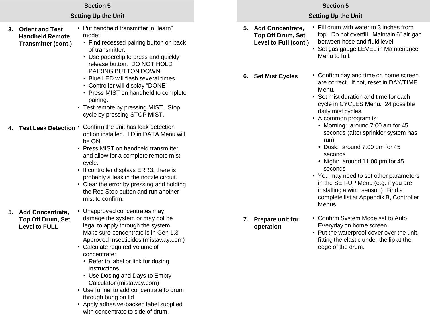## **Setting Up the Unit**

- **3. Orient and Test Handheld Remote Transmitter (cont.)**
- Put handheld transmitter in "learn" mode:
	- Find recessed pairing button on back of transmitter.
	- Use paperclip to press and quickly release button. DO NOT HOLD PAIRING BUTTON DOWN!
	- Blue LED will flash several times
	- Controller will display "DONE"
	- Press MIST on handheld to complete pairing.
- Test remote by pressing MIST. Stop cycle by pressing STOP MIST.
- **4. Test Leak Detection •** Confirm the unit has leak detection option installed. LD in DATA Menu will be ON.
	- Press MIST on handheld transmitter and allow for a complete remote mist cycle.
	- If controller displays ERR3, there is probably a leak in the nozzle circuit.
	- Clear the error by pressing and holding the Red Stop button and run another mist to confirm.

## **5. Add Concentrate, Top Off Drum, Set Level to FULL**

• Unapproved concentrates may damage the system or may not be legal to apply through the system. Make sure concentrate is in Gen 1.3 Approved Insecticides (mistaway.com)

- Calculate required volume of concentrate:
	- Refer to label or link for dosing instructions.
	- Use Dosing and Days to Empty Calculator (mistaway.com)
- Use funnel to add concentrate to drum through bung on lid
- Apply adhesive-backed label supplied with concentrate to side of drum.

## **Section 5**

## **Setting Up the Unit**

• Fill drum with water to 3 inches from **5. Add Concentrate, Top Off Drum, Set Level to Full (cont.)**

**6. Set Mist Cycles**

- top. Do not overfill. Maintain 6" air gap between hose and fluid level. • Set gas gauge LEVEL in Maintenance
- Menu to full.
- Confirm day and time on home screen are correct. If not, reset in DAY/TIME Menu.
- Set mist duration and time for each cycle in CYCLES Menu. 24 possible daily mist cycles.
- A common program is:
	- Morning: around 7:00 am for 45 seconds (after sprinkler system has run)
	- Dusk: around 7:00 pm for 45 seconds
	- Night: around 11:00 pm for 45 seconds
- You may need to set other parameters in the SET-UP Menu (e.g. if you are installing a wind sensor.) Find a complete list at Appendix B, Controller **Menus**
- **7. Prepare unit for operation**
- Confirm System Mode set to Auto Everyday on home screen.
- Put the waterproof cover over the unit, fitting the elastic under the lip at the edge of the drum.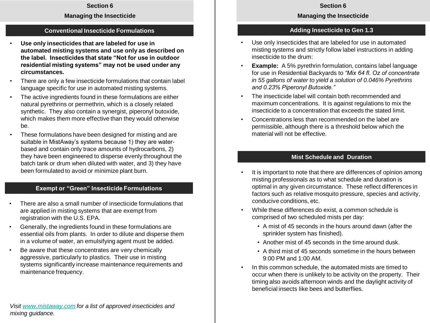#### **Managing the Insecticide**

## **Conventional Insecticide Formulations**

- **Use only insecticides that are labeled for use in automated misting systems and use only as described on the label. Insecticides that state "Not for use in outdoor residential misting systems" may not be used under any circumstances.**
- There are only a few insecticide formulations that contain label language specific for use in automated misting systems.
- The active ingredients found in these formulations are either natural pyrethrins or permethrin, which is a closely related synthetic. They also contain a synergist, piperonyl butoxide, which makes them more effective than they would otherwise be.
- These formulations have been designed for misting and are suitable in MistAway's systems because 1) they are waterbased and contain only trace amounts of hydrocarbons, 2) they have been engineered to disperse evenly throughout the batch tank or drum when diluted with water, and 3) they have been formulated to avoid or minimize plant burn.

## **Exempt or "Green" Insecticide Formulations**

- There are also a small number of insecticide formulations that are applied in misting systems that are exempt from registration with the U.S. EPA.
- Generally, the ingredients found in these formulations are essential oils from plants. In order to dilute and disperse them in a volume of water, an emulsifying agent must be added.
- Be aware that these concentrates are very chemically aggressive, particularly to plastics. Their use in misting systems significantly increase maintenance requirements and maintenance frequency.

#### **Section 6**

#### **Managing the Insecticide**

### **Adding Insecticide to Gen 1.3**

- Use only insecticides that are labeled for use in automated misting systems and strictly follow label instructions in adding insecticide to the drum:
- **Example:** A 5% pyrethrin formulation, contains label language for use in Residential Backyards to *"Mix 64 fl. Oz of concentrate in 55 gallons of water to yield a solution of 0.046% Pyrethrins and 0.23% Piperonyl Butoxide."*
- The insecticide label will contain both recommended and maximum concentrations. It is against regulations to mix the insecticide to a concentration that exceeds the stated limit.
- Concentrations less than recommended on the label are permissible, although there is a threshold below which the material will not be effective.

#### **Mist Schedule and Duration**

- It is important to note that there are differences of opinion among misting professionals as to what schedule and duration is optimal in any given circumstance. These reflect differences in factors such as relative mosquito pressure, species and activity, conducive conditions, etc.
- While these differences do exist, a common schedule is comprised of two scheduled mists per day:
	- A mist of 45 seconds in the hours around dawn (after the sprinkler system has finished).
	- Another mist of 45 seconds in the time around dusk.
	- A third mist of 45 seconds sometime in the hours between 9:00 PM and 1:00 AM.
- In this common schedule, the automated mists are timed to occur when there is unlikely to be activity on the property. Their timing also avoids afternoon winds and the daylight activity of beneficial insects like bees and butterflies.

*Visit [www.mistaway.com](http://www.mistaway.com/) for a list of approved insecticides and mixing guidance.*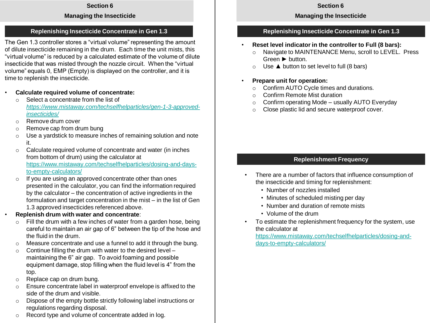#### **Managing the Insecticide**

#### **Replenishing Insecticide Concentrate in Gen 1.3**

The Gen 1.3 controller stores a "virtual volume" representing the amount of dilute insecticide remaining in the drum. Each time the unit mists, this "virtual volume" is reduced by a calculated estimate of the volume of dilute insecticide that was misted through the nozzle circuit. When the "virtual volume" equals 0, EMP (Empty) is displayed on the controller, and it is time to replenish the insecticide.

- **Calculate required volume of concentrate:**
	- o Select a concentrate from the list of *[https://www.mistaway.com/techselfhelparticles/gen-1-3-approved](https://www.mistaway.com/techselfhelparticles/gen-1-3-approved-insecticides/)insecticides/*
	- o Remove drum cover
	- o Remove cap from drum bung
	- $\circ$  Use a yardstick to measure inches of remaining solution and note it.
	- o Calculate required volume of concentrate and water (in inches from bottom of drum) using the calculator at [https://www.mistaway.com/techselfhelparticles/dosing-and-days](https://www.mistaway.com/techselfhelparticles/dosing-and-days-to-empty-calculators/)to-empty-calculators/
	- o If you are using an approved concentrate other than ones presented in the calculator, you can find the information required by the calculator – the concentration of active ingredients in the formulation and target concentration in the mist – in the list of Gen 1.3 approved insecticides referenced above.
- **Replenish drum with water and concentrate**:
	- $\circ$  Fill the drum with a few inches of water from a garden hose, being careful to maintain an air gap of 6" between the tip of the hose and the fluid in the drum.
	- o Measure concentrate and use a funnel to add it through the bung.
	- $\circ$  Continue filling the drum with water to the desired level maintaining the 6" air gap. To avoid foaming and possible equipment damage, stop filling when the fluid level is 4" from the top.
	- o Replace cap on drum bung.
	- o Ensure concentrate label in waterproof envelope is affixed to the side of the drum and visible.
	- o Dispose of the empty bottle strictly following label instructions or regulations regarding disposal.
	- o Record type and volume of concentrate added in log.

#### **Section 6**

#### **Managing the Insecticide**

### **Replenishing Insecticide Concentrate in Gen 1.3**

- **Reset level indicator in the controller to Full (8 bars):**
	- o Navigate to MAINTENANCE Menu, scroll to LEVEL. Press Green ► button.
	- $\circ$  Use  $\triangle$  button to set level to full (8 bars)
- **Prepare unit for operation:**
	- o Confirm AUTO Cycle times and durations.
	- o Confirm Remote Mist duration
	- $\circ$  Confirm operating Mode usually AUTO Everyday
	- o Close plastic lid and secure waterproof cover.

## **Replenishment Frequency**

- There are a number of factors that influence consumption of the insecticide and timing for replenishment:
	- Number of nozzles installed
	- Minutes of scheduled misting per day
	- Number and duration of remote mists
	- Volume of the drum
- To estimate the replenishment frequency for the system, use the calculator at

[https://www.mistaway.com/techselfhelparticles/dosing-and](https://www.mistaway.com/techselfhelparticles/dosing-and-days-to-empty-calculators/)days-to-empty-calculators/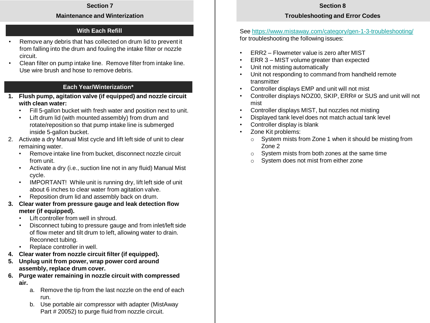#### **Maintenance and Winterization**

## **With Each Refill**

- Remove any debris that has collected on drum lid to prevent it from falling into the drum and fouling the intake filter or nozzle circuit.
- Clean filter on pump intake line. Remove filter from intake line. Use wire brush and hose to remove debris.

## **Each Year/Winterization\***

- **1. Flush pump, agitation valve (if equipped) and nozzle circuit with clean water:**
	- Fill 5-gallon bucket with fresh water and position next to unit.
	- Lift drum lid (with mounted assembly) from drum and rotate/reposition so that pump intake line is submerged inside 5-gallon bucket.
- 2. Activate a dry Manual Mist cycle and lift left side of unit to clear remaining water.
	- Remove intake line from bucket, disconnect nozzle circuit from unit.
	- Activate a dry (i.e., suction line not in any fluid) Manual Mist cycle.
	- IMPORTANT! While unit is running dry, lift left side of unit about 6 inches to clear water from agitation valve.
	- Reposition drum lid and assembly back on drum.
- **3. Clear water from pressure gauge and leak detection flow meter (if equipped).**
	- Lift controller from well in shroud.
	- Disconnect tubing to pressure gauge and from inlet/left side of flow meter and tilt drum to left, allowing water to drain. Reconnect tubing.
	- Replace controller in well.
- **4. Clear water from nozzle circuit filter (if equipped).**
- **5. Unplug unit from power, wrap power cord around assembly, replace drum cover.**
- **6. Purge water remaining in nozzle circuit with compressed air.**
	- a. Remove the tip from the last nozzle on the end of each run.
	- b. Use portable air compressor with adapter (MistAway Part # 20052) to purge fluid from nozzle circuit.

### **Section 8**

## **Troubleshooting and Error Codes**

## See<https://www.mistaway.com/category/gen-1-3-troubleshooting/> for troubleshooting the following issues:

- ERR2 Flowmeter value is zero after MIST
- ERR 3 MIST volume greater than expected
- Unit not misting automatically
- Unit not responding to command from handheld remote transmitter
- Controller displays EMP and unit will not mist
- Controller displays NOZ00, SKIP, ERR# or SUS and unit will not mist
- Controller displays MIST, but nozzles not misting
- Displayed tank level does not match actual tank level
- Controller display is blank
- Zone Kit problems:
	- o System mists from Zone 1 when it should be misting from Zone 2
	- o System mists from both zones at the same time
	- o System does not mist from either zone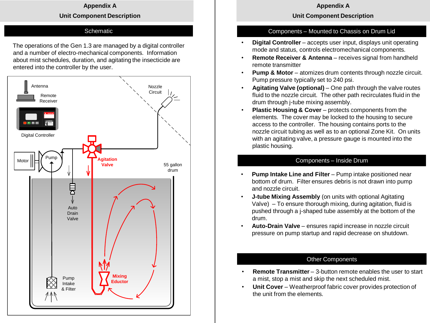#### **Appendix A**

#### **Unit Component Description**

#### **Schematic**

The operations of the Gen 1.3 are managed by a digital controller and a number of electro-mechanical components. Information about mist schedules, duration, and agitating the insecticide are entered into the controller by the user.



#### **Appendix A**

#### **Unit Component Description**

#### Components – Mounted to Chassis on Drum Lid

- **Digital Controller** accepts user input, displays unit operating mode and status, controls electromechanical components.
- **Remote Receiver & Antenna** receives signal from handheld remote transmitter
- **Pump & Motor** atomizes drum contents through nozzle circuit. Pump pressure typically set to 240 psi.
- **Agitating Valve (optional)** One path through the valve routes fluid to the nozzle circuit. The other path recirculates fluid in the drum through j-tube mixing assembly.
- **Plastic Housing & Cover** protects components from the elements. The cover may be locked to the housing to secure access to the controller. The housing contains ports to the nozzle circuit tubing as well as to an optional Zone Kit. On units with an agitating valve, a pressure gauge is mounted into the plastic housing.

#### Components – Inside Drum

- **Pump Intake Line and Filter** Pump intake positioned near bottom of drum. Filter ensures debris is not drawn into pump and nozzle circuit.
- **J-tube Mixing Assembly** (on units with optional Agitating Valve) – To ensure thorough mixing, during agitation, fluid is pushed through a j-shaped tube assembly at the bottom of the drum.
- **Auto-Drain Valve** ensures rapid increase in nozzle circuit pressure on pump startup and rapid decrease on shutdown.

#### Other Components

- **Remote Transmitter** 3-button remote enables the user to start a mist, stop a mist and skip the next scheduled mist.
- **Unit Cover** Weatherproof fabric cover provides protection of the unit from the elements.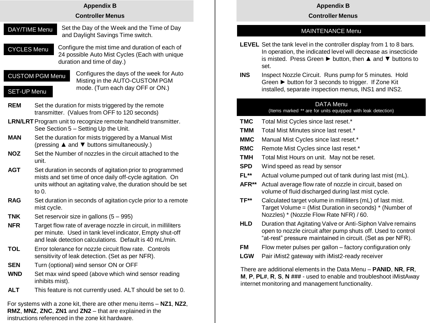#### **Appendix B**

#### **Controller Menus**

- Set the Day of the Week and the Time of Day and Daylight Savings Time switch. DAY/TIME Menu
- Configure the mist time and duration of each of 24 possible Auto Mist Cycles (Each with unique duration and time of day.) CYCLES Menu

## CUSTOM PGM Menu

Configures the days of the week for Auto Misting in the AUTO-CUSTOM PGM mode. (Turn each day OFF or ON.)

## SET-UP Menu

- **REM** Set the duration for mists triggered by the remote transmitter. (Values from OFF to 120 seconds)
- **LRN/LRT**Program unit to recognize remote handheld transmitter. See Section 5 – Setting Up the Unit.
- **MAN** Set the duration for mists triggered by a Manual Mist (pressing ▲ and ▼ buttons simultaneously.)
- **NOZ** Set the Number of nozzles in the circuit attached to the unit.
- **AGT** Set duration in seconds of agitation prior to programmed mists and set time of once daily off-cycle agitation. On units without an agitating valve, the duration should be set to 0.
- **RAG** Set duration in seconds of agitation cycle prior to a remote mist cycle.
- **TNK** Set reservoir size in gallons (5 995)
- **NFR** Target flow rate of average nozzle in circuit, in milliliters per minute. Used in tank level indicator, Empty shut-off and leak detection calculations. Default is 40 mL/min.
- **TOL** Error tolerance for nozzle circuit flow rate. Controls sensitivity of leak detection. (Set as per NFR).
- **SEN** Turn (optional) wind sensor ON or OFF
- **WND** Set max wind speed (above which wind sensor reading inhibits mist).
- **ALT** This feature is not currently used. ALT should be set to 0.

For systems with a zone kit, there are other menu items – **NZ1**, **NZ2**, **RMZ**, **MNZ**, **ZNC**, **ZN1** and **ZN2** – that are explained in the instructions referenced in the zone kit hardware.

## **Appendix B**

## **Controller Menus**

# MAINTENANCE Menu

- **LEVEL** Set the tank level in the controller display from 1 to 8 bars. In operation, the indicated level will decrease as insecticide is misted. Press Green ► button, then ▲ and ▼ buttons to set.
- **INS** Inspect Nozzle Circuit. Runs pump for 5 minutes. Hold Green ► button for 3 seconds to trigger. If Zone Kit installed, separate inspection menus, INS1 and INS2.

## DATA Menu

## (Items marked \*\* are for units equipped with leak detection)

- **TMC** Total Mist Cycles since last reset.\*
- **TMM** Total Mist Minutes since last reset.<sup>\*</sup>
- **MMC** Manual Mist Cycles since last reset.\*
- **RMC** Remote Mist Cycles since last reset.\*
- **TMH** Total Mist Hours on unit. May not be reset.
- **SPD** Wind speed as read by sensor
- **FL\*\*** Actual volume pumped out of tank during last mist (mL).
- **AFR\*\*** Actual average flow rate of nozzle in circuit, based on volume of fluid discharged during last mist cycle.
- **TF\*\*** Calculated target volume in milliliters (mL) of last mist. Target Volume = (Mist Duration in seconds) \* (Number of Nozzles) \* (Nozzle Flow Rate NFR) / 60.
- **HLD** Duration that Agitating Valve or Anti-Siphon Valve remains open to nozzle circuit after pump shuts off. Used to control "at-rest" pressure maintained in circuit. (Set as per NFR).
- **FM** Flow meter pulses per gallon factory configuration only
- **LGW** Pair iMist2 gateway with iMist2-ready receiver

There are additional elements in the Data Menu – **PANID**, **NR**, **FR**, **M**, **P**, **PL#**, **R**, **S**, **N ###** - used to enable and troubleshoot iMistAway internet monitoring and management functionality.